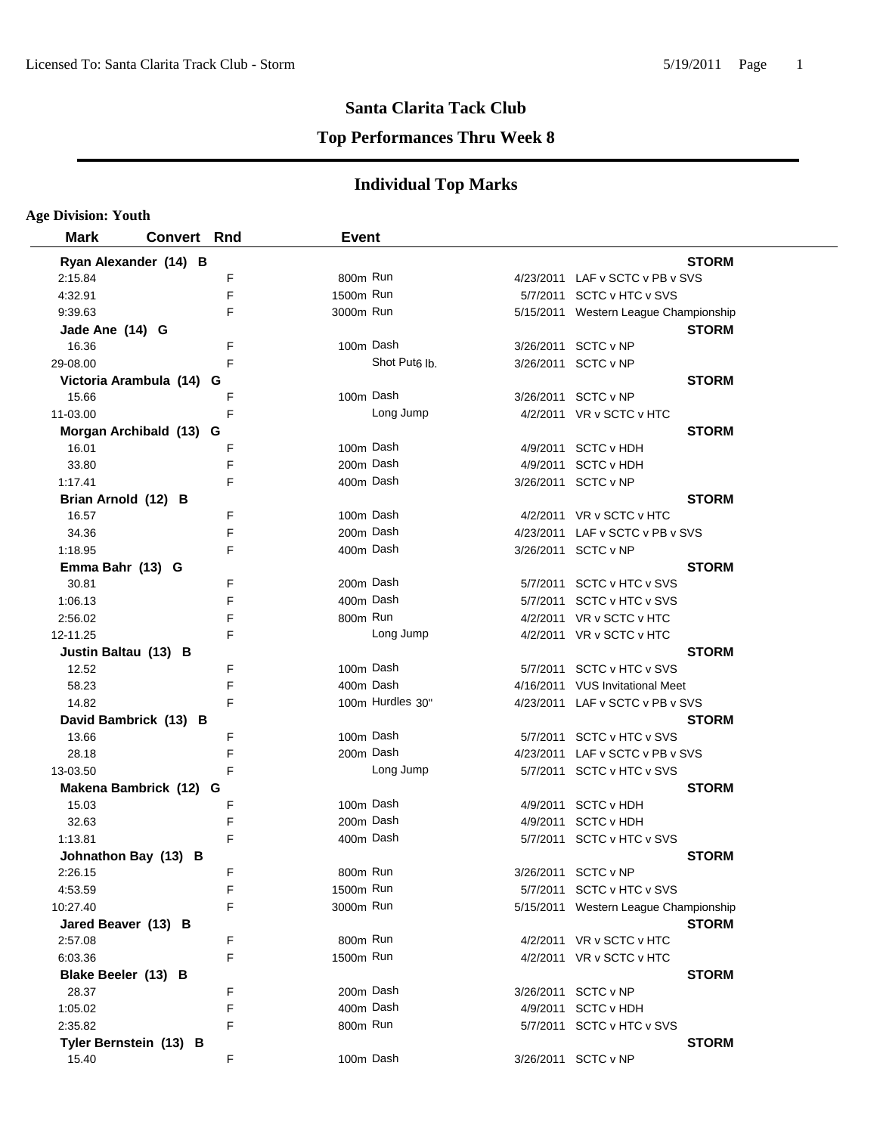### **Top Performances Thru Week 8**

| <b>Age Division: Youth</b> |                    |   |              |                           |          |                                       |
|----------------------------|--------------------|---|--------------|---------------------------|----------|---------------------------------------|
| <b>Mark</b>                | <b>Convert Rnd</b> |   | <b>Event</b> |                           |          |                                       |
| Ryan Alexander (14) B      |                    |   |              |                           |          | <b>STORM</b>                          |
| 2:15.84                    |                    | F | 800m Run     |                           |          | 4/23/2011 LAF v SCTC v PB v SVS       |
| 4:32.91                    |                    | F | 1500m Run    |                           |          | 5/7/2011 SCTC v HTC v SVS             |
| 9:39.63                    |                    | F | 3000m Run    |                           |          | 5/15/2011 Western League Championship |
| Jade Ane (14) G            |                    |   |              |                           |          | <b>STORM</b>                          |
| 16.36                      |                    | F | 100m Dash    |                           |          | 3/26/2011 SCTC v NP                   |
| 29-08.00                   |                    | F |              | Shot Put <sub>6</sub> lb. |          | 3/26/2011 SCTC v NP                   |
| Victoria Arambula (14) G   |                    |   |              |                           |          | <b>STORM</b>                          |
| 15.66                      |                    | F | 100m Dash    |                           |          | 3/26/2011 SCTC v NP                   |
| 11-03.00                   |                    | F |              | Long Jump                 |          | 4/2/2011 VR v SCTC v HTC              |
| Morgan Archibald (13) G    |                    |   |              |                           |          | <b>STORM</b>                          |
| 16.01                      |                    | F | 100m Dash    |                           |          | 4/9/2011 SCTC v HDH                   |
| 33.80                      |                    | F | 200m Dash    |                           |          | 4/9/2011 SCTC v HDH                   |
| 1:17.41                    |                    | F | 400m Dash    |                           |          | 3/26/2011 SCTC v NP                   |
| Brian Arnold (12) B        |                    |   |              |                           |          | <b>STORM</b>                          |
| 16.57                      |                    | F | 100m Dash    |                           |          | 4/2/2011 VR v SCTC v HTC              |
| 34.36                      |                    | F | 200m Dash    |                           |          | 4/23/2011 LAF v SCTC v PB v SVS       |
| 1:18.95                    |                    | F | 400m Dash    |                           |          | 3/26/2011 SCTC v NP                   |
| Emma Bahr (13) G           |                    |   |              |                           |          | <b>STORM</b>                          |
| 30.81                      |                    | F | 200m Dash    |                           |          | 5/7/2011 SCTC v HTC v SVS             |
| 1:06.13                    |                    | F | 400m Dash    |                           |          | 5/7/2011 SCTC v HTC v SVS             |
| 2:56.02                    |                    | F | 800m Run     |                           |          | 4/2/2011 VR v SCTC v HTC              |
| 12-11.25                   |                    | F |              | Long Jump                 |          | 4/2/2011 VR v SCTC v HTC              |
| Justin Baltau (13) B       |                    |   |              |                           |          | <b>STORM</b>                          |
| 12.52                      |                    | F | 100m Dash    |                           | 5/7/2011 | SCTC v HTC v SVS                      |
| 58.23                      |                    | F | 400m Dash    |                           |          | 4/16/2011 VUS Invitational Meet       |
| 14.82                      |                    | F |              | 100m Hurdles 30"          |          | 4/23/2011 LAF v SCTC v PB v SVS       |
| David Bambrick (13) B      |                    |   |              |                           |          | <b>STORM</b>                          |
| 13.66                      |                    | F | 100m Dash    |                           | 5/7/2011 | SCTC v HTC v SVS                      |
| 28.18                      |                    | F | 200m Dash    |                           |          | 4/23/2011 LAF v SCTC v PB v SVS       |
| 13-03.50                   |                    | F |              | Long Jump                 |          | 5/7/2011 SCTC v HTC v SVS             |
| Makena Bambrick (12) G     |                    |   |              |                           |          | <b>STORM</b>                          |
| 15.03                      |                    | F | 100m Dash    |                           |          | 4/9/2011 SCTC v HDH                   |
| 32.63                      |                    | F | 200m Dash    |                           | 4/9/2011 | <b>SCTC v HDH</b>                     |
| 1:13.81                    |                    | F | 400m Dash    |                           |          | 5/7/2011 SCTC v HTC v SVS             |
| Johnathon Bay (13) B       |                    |   |              |                           |          | <b>STORM</b>                          |
| 2:26.15                    |                    | F | 800m Run     |                           |          | 3/26/2011 SCTC v NP                   |
| 4:53.59                    |                    | F | 1500m Run    |                           |          | 5/7/2011 SCTC v HTC v SVS             |
| 10:27.40                   |                    | F | 3000m Run    |                           |          | 5/15/2011 Western League Championship |
| Jared Beaver (13) B        |                    |   |              |                           |          | <b>STORM</b>                          |
| 2:57.08                    |                    | F | 800m Run     |                           |          | 4/2/2011 VR v SCTC v HTC              |
| 6:03.36                    |                    | F | 1500m Run    |                           |          | 4/2/2011 VR v SCTC v HTC              |
| Blake Beeler (13) B        |                    |   |              |                           |          | <b>STORM</b>                          |
| 28.37                      |                    | F | 200m Dash    |                           |          | 3/26/2011 SCTC v NP                   |
| 1:05.02                    |                    | F | 400m Dash    |                           |          | 4/9/2011 SCTC v HDH                   |
| 2:35.82                    |                    | F | 800m Run     |                           |          | 5/7/2011 SCTC v HTC v SVS             |
| Tyler Bernstein (13) B     |                    |   |              |                           |          | <b>STORM</b>                          |
| 15.40                      |                    | F | 100m Dash    |                           |          | 3/26/2011 SCTC v NP                   |
|                            |                    |   |              |                           |          |                                       |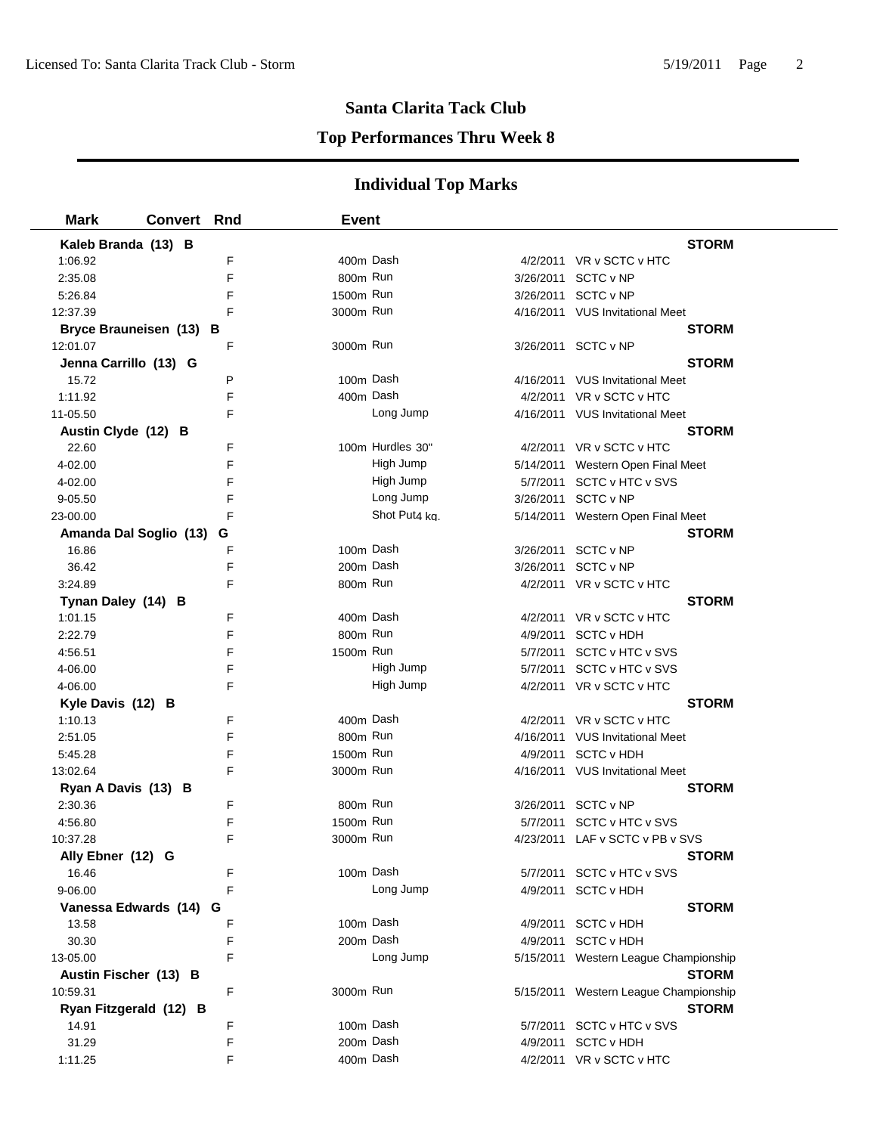### **Top Performances Thru Week 8**

| <b>Mark</b>                   | <b>Convert Rnd</b> |        | <b>Event</b> |                  |                                       |  |
|-------------------------------|--------------------|--------|--------------|------------------|---------------------------------------|--|
| Kaleb Branda (13) B           |                    |        |              |                  | <b>STORM</b>                          |  |
| 1:06.92                       |                    | F      | 400m Dash    |                  | 4/2/2011 VR v SCTC v HTC              |  |
| 2:35.08                       |                    | F      | 800m Run     |                  | 3/26/2011 SCTC v NP                   |  |
| 5:26.84                       |                    | F      | 1500m Run    |                  | 3/26/2011 SCTC v NP                   |  |
| 12:37.39                      |                    | F      | 3000m Run    |                  | 4/16/2011 VUS Invitational Meet       |  |
| Bryce Brauneisen (13) B       |                    |        |              |                  | <b>STORM</b>                          |  |
| 12:01.07                      |                    | F      | 3000m Run    |                  | 3/26/2011 SCTC v NP                   |  |
| Jenna Carrillo (13) G         |                    |        |              |                  | STORM                                 |  |
| 15.72                         |                    | P      | 100m Dash    |                  | 4/16/2011 VUS Invitational Meet       |  |
| 1:11.92                       |                    | F      | 400m Dash    |                  | 4/2/2011 VR v SCTC v HTC              |  |
| 11-05.50                      |                    | F      |              | Long Jump        | 4/16/2011 VUS Invitational Meet       |  |
| Austin Clyde (12) B           |                    |        |              |                  | <b>STORM</b>                          |  |
| 22.60                         |                    | F      |              | 100m Hurdles 30" | 4/2/2011 VR v SCTC v HTC              |  |
| 4-02.00                       |                    | F      |              | High Jump        | 5/14/2011 Western Open Final Meet     |  |
| 4-02.00                       |                    | F      |              | High Jump        | 5/7/2011 SCTC v HTC v SVS             |  |
| 9-05.50                       |                    | F      |              | Long Jump        | 3/26/2011 SCTC v NP                   |  |
| 23-00.00                      |                    | F      |              | Shot Put4 kg.    | 5/14/2011 Western Open Final Meet     |  |
| Amanda Dal Soglio (13)        |                    | G      |              |                  | <b>STORM</b>                          |  |
| 16.86                         |                    | F      | 100m Dash    |                  | 3/26/2011 SCTC v NP                   |  |
| 36.42                         |                    | F      | 200m Dash    |                  | 3/26/2011 SCTC v NP                   |  |
| 3:24.89                       |                    | F      | 800m Run     |                  | 4/2/2011 VR v SCTC v HTC              |  |
| Tynan Daley (14) B            |                    |        |              |                  | <b>STORM</b>                          |  |
| 1:01.15                       |                    | F      | 400m Dash    |                  | 4/2/2011 VR v SCTC v HTC              |  |
| 2:22.79                       |                    | F      | 800m Run     |                  | 4/9/2011 SCTC v HDH                   |  |
| 4:56.51                       |                    | F      | 1500m Run    |                  | 5/7/2011 SCTC v HTC v SVS             |  |
| 4-06.00                       |                    | F      |              | High Jump        | 5/7/2011 SCTC v HTC v SVS             |  |
| 4-06.00                       |                    | F      |              | High Jump        | 4/2/2011 VR v SCTC v HTC              |  |
| Kyle Davis (12) B             |                    |        |              |                  | <b>STORM</b>                          |  |
| 1:10.13                       |                    | F      | 400m Dash    |                  | 4/2/2011 VR v SCTC v HTC              |  |
| 2:51.05                       |                    | F      | 800m Run     |                  | 4/16/2011 VUS Invitational Meet       |  |
| 5:45.28                       |                    | F      | 1500m Run    |                  | 4/9/2011 SCTC v HDH                   |  |
| 13:02.64                      |                    | F      | 3000m Run    |                  | 4/16/2011 VUS Invitational Meet       |  |
| Ryan A Davis (13) B           |                    |        |              |                  | <b>STORM</b>                          |  |
| 2:30.36                       |                    | F      | 800m Run     |                  | 3/26/2011 SCTC v NP                   |  |
| 4:56.80                       |                    | F      | 1500m Run    |                  | 5/7/2011 SCTC v HTC v SVS             |  |
| 10:37.28                      |                    | F      | 3000m Run    |                  | 4/23/2011 LAF v SCTC v PB v SVS       |  |
| Ally Ebner (12) G             |                    |        | 100m Dash    |                  | <b>STORM</b>                          |  |
| 16.46                         |                    | F<br>F |              | Long Jump        | 5/7/2011 SCTC v HTC v SVS             |  |
| 9-06.00                       |                    |        |              |                  | 4/9/2011 SCTC v HDH                   |  |
| Vanessa Edwards (14)<br>13.58 |                    | G<br>F | 100m Dash    |                  | <b>STORM</b><br>4/9/2011 SCTC v HDH   |  |
| 30.30                         |                    | F      | 200m Dash    |                  | 4/9/2011 SCTC v HDH                   |  |
| 13-05.00                      |                    | F      |              | Long Jump        | 5/15/2011 Western League Championship |  |
| Austin Fischer (13) B         |                    |        |              |                  | <b>STORM</b>                          |  |
| 10:59.31                      |                    | F      | 3000m Run    |                  | 5/15/2011 Western League Championship |  |
| Ryan Fitzgerald (12) B        |                    |        |              |                  | <b>STORM</b>                          |  |
| 14.91                         |                    | F      | 100m Dash    |                  | 5/7/2011 SCTC v HTC v SVS             |  |
| 31.29                         |                    | F      | 200m Dash    |                  | 4/9/2011 SCTC v HDH                   |  |
| 1:11.25                       |                    | F      | 400m Dash    |                  | 4/2/2011 VR v SCTC v HTC              |  |
|                               |                    |        |              |                  |                                       |  |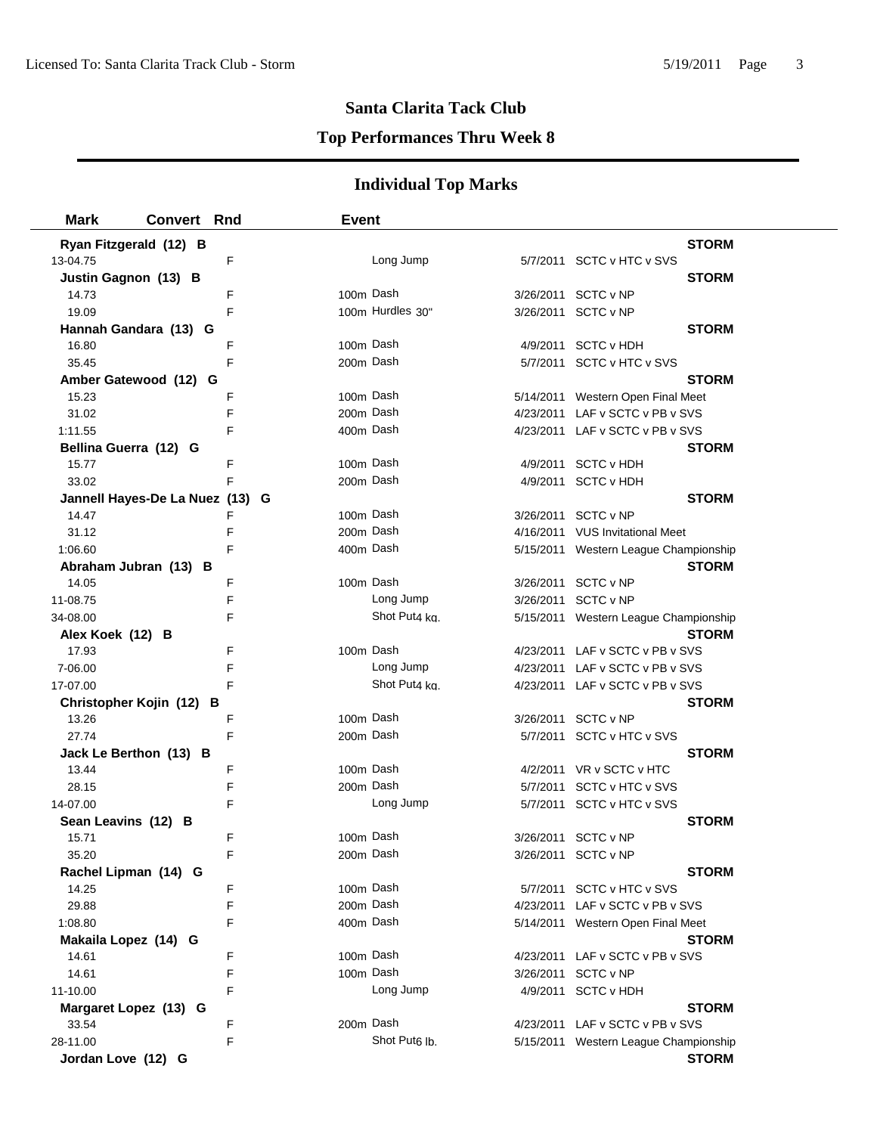## **Top Performances Thru Week 8**

| <b>Mark</b>                     | <b>Convert Rnd</b> |   | <b>Event</b> |                           |                                       |
|---------------------------------|--------------------|---|--------------|---------------------------|---------------------------------------|
| Ryan Fitzgerald (12) B          |                    |   |              |                           | <b>STORM</b>                          |
| 13-04.75                        |                    | F |              | Long Jump                 | 5/7/2011 SCTC v HTC v SVS             |
| Justin Gagnon (13) B            |                    |   |              |                           | <b>STORM</b>                          |
| 14.73                           |                    | F | 100m Dash    |                           | 3/26/2011 SCTC v NP                   |
| 19.09                           |                    | F |              | 100m Hurdles 30"          | 3/26/2011 SCTC v NP                   |
| Hannah Gandara (13) G           |                    |   |              |                           | <b>STORM</b>                          |
| 16.80                           |                    | F | 100m Dash    |                           | 4/9/2011 SCTC v HDH                   |
| 35.45                           |                    | F | 200m Dash    |                           | 5/7/2011 SCTC v HTC v SVS             |
| Amber Gatewood (12) G           |                    |   |              |                           | <b>STORM</b>                          |
| 15.23                           |                    | F | 100m Dash    |                           | 5/14/2011 Western Open Final Meet     |
| 31.02                           |                    | F | 200m Dash    |                           | 4/23/2011 LAF v SCTC v PB v SVS       |
| 1:11.55                         |                    | F | 400m Dash    |                           | 4/23/2011 LAF v SCTC v PB v SVS       |
| Bellina Guerra (12) G           |                    |   |              |                           | <b>STORM</b>                          |
| 15.77                           |                    | F | 100m Dash    |                           | 4/9/2011 SCTC v HDH                   |
| 33.02                           |                    | F | 200m Dash    |                           | 4/9/2011 SCTC v HDH                   |
| Jannell Hayes-De La Nuez (13) G |                    |   |              |                           | <b>STORM</b>                          |
| 14.47                           |                    | F | 100m Dash    |                           | 3/26/2011 SCTC v NP                   |
| 31.12                           |                    | F | 200m Dash    |                           | 4/16/2011 VUS Invitational Meet       |
| 1:06.60                         |                    | F | 400m Dash    |                           | 5/15/2011 Western League Championship |
| Abraham Jubran (13) B           |                    |   |              |                           | <b>STORM</b>                          |
| 14.05                           |                    | F | 100m Dash    |                           | 3/26/2011 SCTC v NP                   |
| 11-08.75                        |                    | F |              | Long Jump                 | 3/26/2011 SCTC v NP                   |
| 34-08.00                        |                    | F |              | Shot Put4 ka.             | 5/15/2011 Western League Championship |
| Alex Koek (12) B                |                    |   |              |                           | <b>STORM</b>                          |
| 17.93                           |                    | F | 100m Dash    |                           | 4/23/2011 LAF v SCTC v PB v SVS       |
| 7-06.00                         |                    | F |              | Long Jump                 | 4/23/2011 LAF v SCTC v PB v SVS       |
| 17-07.00                        |                    | F |              | Shot Put4 kg.             | 4/23/2011 LAF v SCTC v PB v SVS       |
| Christopher Kojin (12)          | в                  |   |              |                           | <b>STORM</b>                          |
| 13.26                           |                    | F | 100m Dash    |                           | 3/26/2011 SCTC v NP                   |
| 27.74                           |                    | F | 200m Dash    |                           | 5/7/2011 SCTC v HTC v SVS             |
| Jack Le Berthon (13) B          |                    |   |              |                           | <b>STORM</b>                          |
| 13.44                           |                    | F | 100m Dash    |                           | 4/2/2011 VR v SCTC v HTC              |
| 28.15                           |                    | F | 200m Dash    |                           | 5/7/2011 SCTC v HTC v SVS             |
| 14-07.00                        |                    | F |              | Long Jump                 | 5/7/2011 SCTC v HTC v SVS             |
| Sean Leavins (12) B             |                    |   |              |                           | <b>STORM</b>                          |
| 15.71                           |                    | F | 100m Dash    |                           | 3/26/2011 SCTC v NP                   |
| 35.20                           |                    | F |              | 200m Dash                 | 3/26/2011 SCTC v NP                   |
| Rachel Lipman (14) G            |                    |   |              |                           | <b>STORM</b>                          |
| 14.25                           |                    | F | 100m Dash    |                           | 5/7/2011 SCTC v HTC v SVS             |
| 29.88                           |                    | F | 200m Dash    |                           | 4/23/2011 LAF v SCTC v PB v SVS       |
| 1:08.80                         |                    | F | 400m Dash    |                           | 5/14/2011 Western Open Final Meet     |
| Makaila Lopez (14) G            |                    |   |              |                           | <b>STORM</b>                          |
| 14.61                           |                    | F | 100m Dash    |                           | 4/23/2011 LAF v SCTC v PB v SVS       |
| 14.61                           |                    | F | 100m Dash    |                           | 3/26/2011 SCTC v NP                   |
| 11-10.00                        |                    | F |              | Long Jump                 | 4/9/2011 SCTC v HDH                   |
| Margaret Lopez (13) G           |                    |   |              |                           | <b>STORM</b>                          |
| 33.54                           |                    | F | 200m Dash    |                           | 4/23/2011 LAF v SCTC v PB v SVS       |
| 28-11.00                        |                    | F |              | Shot Put <sub>6</sub> lb. | 5/15/2011 Western League Championship |
| Jordan Love (12) G              |                    |   |              |                           | <b>STORM</b>                          |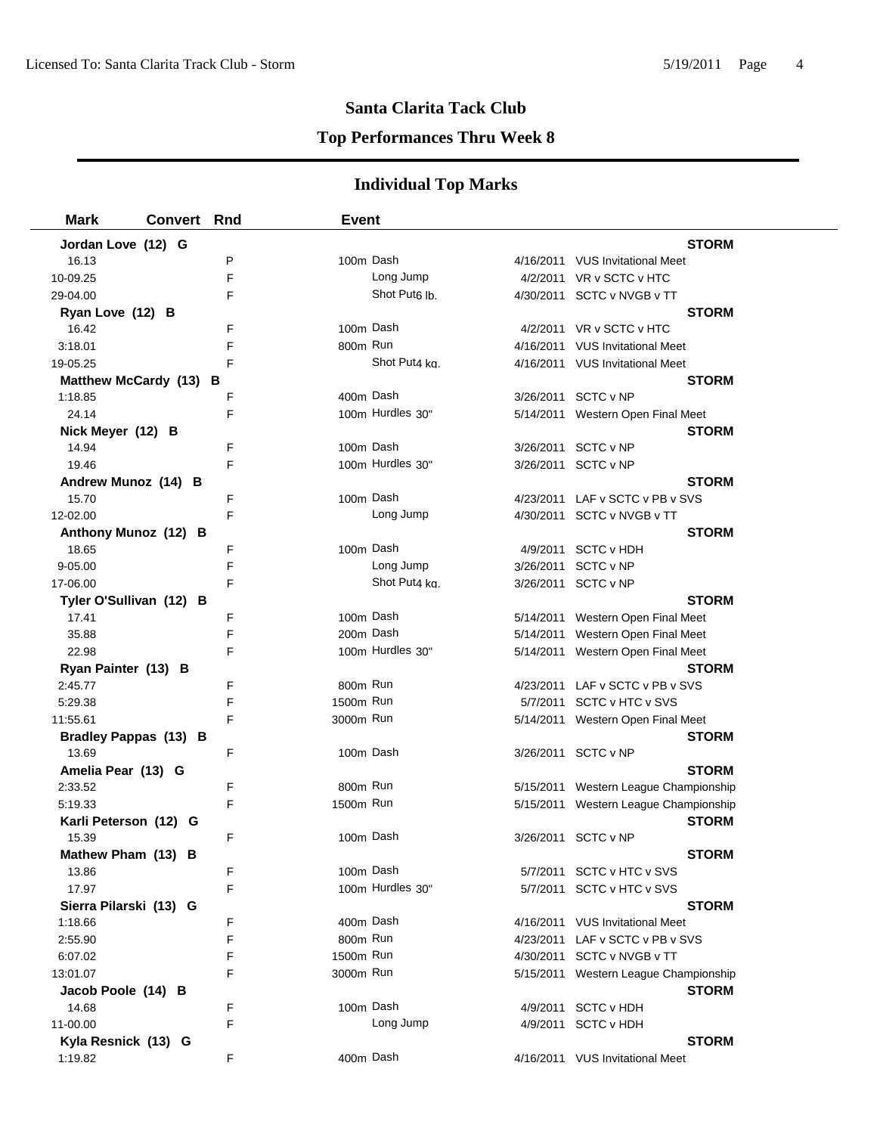## **Top Performances Thru Week 8**

| Mark                    | <b>Convert Rnd</b> |   | <b>Event</b> |                           |                                       |
|-------------------------|--------------------|---|--------------|---------------------------|---------------------------------------|
| Jordan Love (12) G      |                    |   |              |                           | <b>STORM</b>                          |
| 16.13                   |                    | P | 100m Dash    |                           | 4/16/2011 VUS Invitational Meet       |
| 10-09.25                |                    | F |              | Long Jump                 | 4/2/2011 VR v SCTC v HTC              |
| 29-04.00                |                    | F |              | Shot Put <sub>6</sub> lb. | 4/30/2011 SCTC v NVGB v TT            |
| Ryan Love (12) B        |                    |   |              |                           | <b>STORM</b>                          |
| 16.42                   |                    | F | 100m Dash    |                           | 4/2/2011 VR v SCTC v HTC              |
| 3:18.01                 |                    | F | 800m Run     |                           | 4/16/2011 VUS Invitational Meet       |
| 19-05.25                |                    | F |              | Shot Put4 kg.             | 4/16/2011 VUS Invitational Meet       |
| Matthew McCardy (13) B  |                    |   |              |                           | <b>STORM</b>                          |
| 1:18.85                 |                    | F | 400m Dash    |                           | 3/26/2011 SCTC v NP                   |
| 24.14                   |                    | F |              | 100m Hurdles 30"          | 5/14/2011 Western Open Final Meet     |
| Nick Meyer (12) B       |                    |   |              |                           | <b>STORM</b>                          |
| 14.94                   |                    | F | 100m Dash    |                           | 3/26/2011 SCTC v NP                   |
| 19.46                   |                    | F |              | 100m Hurdles 30"          | 3/26/2011 SCTC v NP                   |
| Andrew Munoz (14) B     |                    |   |              |                           | <b>STORM</b>                          |
| 15.70                   |                    | F | 100m Dash    |                           | 4/23/2011 LAF v SCTC v PB v SVS       |
| 12-02.00                |                    | F |              | Long Jump                 | 4/30/2011 SCTC v NVGB v TT            |
| Anthony Munoz (12) B    |                    |   |              |                           | <b>STORM</b>                          |
| 18.65                   |                    | F | 100m Dash    |                           | 4/9/2011 SCTC v HDH                   |
| 9-05.00                 |                    | F |              | Long Jump                 | 3/26/2011 SCTC v NP                   |
| 17-06.00                |                    | F |              | Shot Put4 ka.             | 3/26/2011 SCTC v NP                   |
| Tyler O'Sullivan (12) B |                    |   |              |                           | <b>STORM</b>                          |
| 17.41                   |                    | F | 100m Dash    |                           | 5/14/2011 Western Open Final Meet     |
| 35.88                   |                    | F | 200m Dash    |                           | 5/14/2011 Western Open Final Meet     |
| 22.98                   |                    | F |              | 100m Hurdles 30"          | 5/14/2011 Western Open Final Meet     |
| Ryan Painter (13) B     |                    |   |              |                           | <b>STORM</b>                          |
| 2:45.77                 |                    | F | 800m Run     |                           | 4/23/2011 LAF v SCTC v PB v SVS       |
| 5:29.38                 |                    | F | 1500m Run    |                           | 5/7/2011 SCTC v HTC v SVS             |
| 11:55.61                |                    | F | 3000m Run    |                           | 5/14/2011 Western Open Final Meet     |
| Bradley Pappas (13) B   |                    |   |              |                           | <b>STORM</b>                          |
| 13.69                   |                    | F | 100m Dash    |                           | 3/26/2011 SCTC v NP                   |
| Amelia Pear (13) G      |                    |   |              |                           | <b>STORM</b>                          |
| 2:33.52                 |                    | F | 800m Run     |                           | 5/15/2011 Western League Championship |
| 5:19.33                 |                    | F | 1500m Run    |                           | 5/15/2011 Western League Championship |
| Karli Peterson (12) G   |                    |   |              |                           | <b>STORM</b>                          |
| 15.39                   |                    | F | 100m Dash    |                           | 3/26/2011 SCTC v NP                   |
| Mathew Pham (13) B      |                    |   |              |                           | <b>STORM</b>                          |
| 13.86                   |                    | F | 100m Dash    |                           | 5/7/2011 SCTC v HTC v SVS             |
| 17.97                   |                    | F |              | 100m Hurdles 30"          | 5/7/2011 SCTC v HTC v SVS             |
| Sierra Pilarski (13) G  |                    |   |              |                           | <b>STORM</b>                          |
| 1:18.66                 |                    | F | 400m Dash    |                           | 4/16/2011 VUS Invitational Meet       |
| 2:55.90                 |                    | F | 800m Run     |                           | 4/23/2011 LAF v SCTC v PB v SVS       |
| 6:07.02                 |                    | F | 1500m Run    |                           | 4/30/2011 SCTC v NVGB v TT            |
| 13:01.07                |                    | F | 3000m Run    |                           | 5/15/2011 Western League Championship |
| Jacob Poole (14) B      |                    |   |              |                           | <b>STORM</b>                          |
| 14.68                   |                    | F | 100m Dash    |                           | 4/9/2011 SCTC v HDH                   |
| 11-00.00                |                    | F |              | Long Jump                 | 4/9/2011 SCTC v HDH                   |
| Kyla Resnick (13) G     |                    |   |              |                           | <b>STORM</b>                          |
| 1:19.82                 |                    | F | 400m Dash    |                           | 4/16/2011 VUS Invitational Meet       |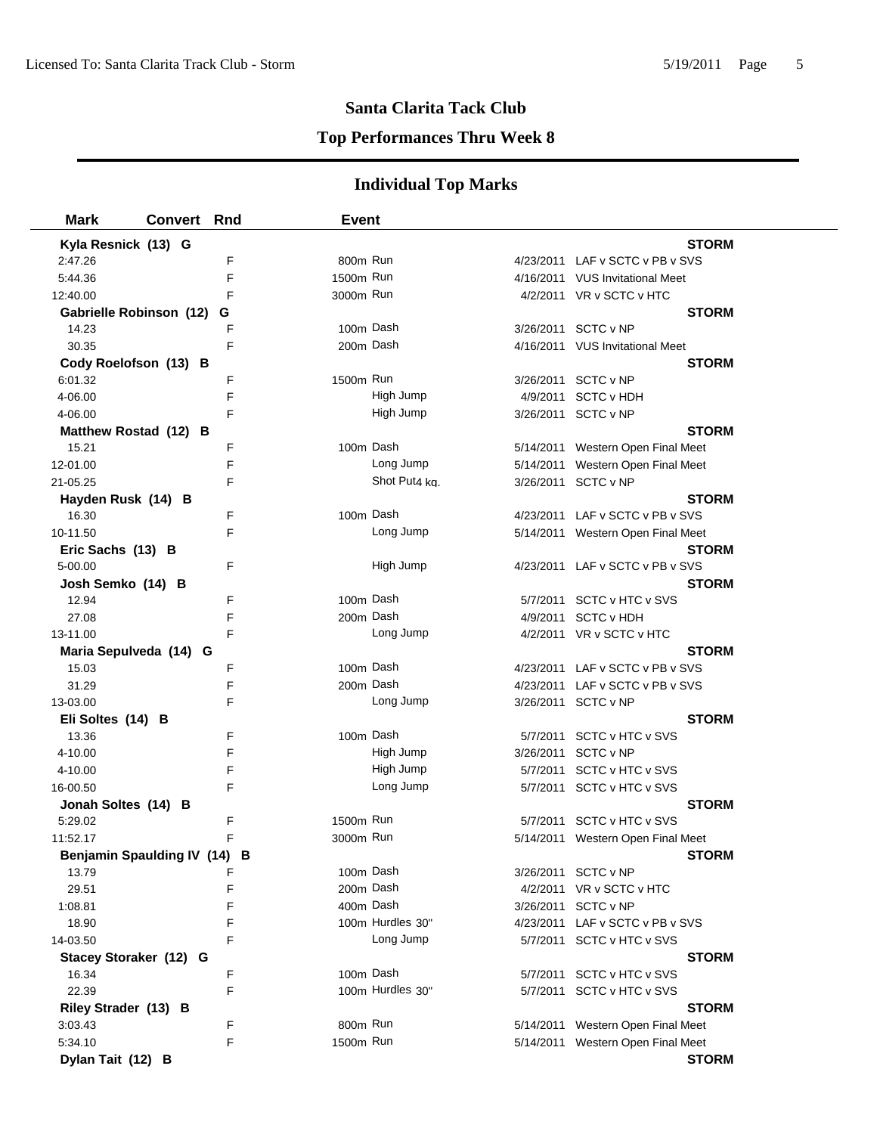## **Top Performances Thru Week 8**

| <b>Mark</b>             | <b>Convert Rnd</b>           | <b>Event</b>     |               |                                   |
|-------------------------|------------------------------|------------------|---------------|-----------------------------------|
| Kyla Resnick (13) G     |                              |                  |               | <b>STORM</b>                      |
| 2:47.26                 | F                            | 800m Run         |               | 4/23/2011 LAF v SCTC v PB v SVS   |
| 5:44.36                 | F                            | 1500m Run        |               | 4/16/2011 VUS Invitational Meet   |
| 12:40.00                | F                            | 3000m Run        |               | 4/2/2011 VR v SCTC v HTC          |
| Gabrielle Robinson (12) | G                            |                  |               | <b>STORM</b>                      |
| 14.23                   | F                            | 100m Dash        |               | 3/26/2011 SCTC v NP               |
| 30.35                   | F                            | 200m Dash        |               | 4/16/2011 VUS Invitational Meet   |
| Cody Roelofson (13) B   |                              |                  |               | <b>STORM</b>                      |
| 6:01.32                 | F                            | 1500m Run        |               | 3/26/2011 SCTC v NP               |
| 4-06.00                 | F                            | High Jump        | 4/9/2011      | <b>SCTC v HDH</b>                 |
| 4-06.00                 | F                            | High Jump        |               | 3/26/2011 SCTC v NP               |
| Matthew Rostad (12) B   |                              |                  |               | <b>STORM</b>                      |
| 15.21                   | F                            | 100m Dash        |               | 5/14/2011 Western Open Final Meet |
| 12-01.00                | F                            | Long Jump        |               | 5/14/2011 Western Open Final Meet |
| 21-05.25                | F                            |                  | Shot Put4 ka. | 3/26/2011 SCTC v NP               |
| Hayden Rusk (14) B      |                              |                  |               | <b>STORM</b>                      |
| 16.30                   | F                            | 100m Dash        | 4/23/2011     | LAF v SCTC v PB v SVS             |
| 10-11.50                | F                            | Long Jump        |               | 5/14/2011 Western Open Final Meet |
| Eric Sachs (13) B       |                              |                  |               | <b>STORM</b>                      |
| 5-00.00                 | F                            | High Jump        |               | 4/23/2011 LAF v SCTC v PB v SVS   |
| Josh Semko (14) B       |                              |                  |               | <b>STORM</b>                      |
| 12.94                   | F                            | 100m Dash        |               | 5/7/2011 SCTC v HTC v SVS         |
| 27.08                   | F                            | 200m Dash        |               | 4/9/2011 SCTC v HDH               |
| 13-11.00                | F                            | Long Jump        |               | 4/2/2011 VR v SCTC v HTC          |
| Maria Sepulveda (14) G  |                              |                  |               | <b>STORM</b>                      |
| 15.03                   | F                            | 100m Dash        |               | 4/23/2011 LAF v SCTC v PB v SVS   |
| 31.29                   | F                            | 200m Dash        |               | 4/23/2011 LAF v SCTC v PB v SVS   |
| 13-03.00                | F                            | Long Jump        |               | 3/26/2011 SCTC v NP               |
| Eli Soltes (14) B       |                              |                  |               | <b>STORM</b>                      |
| 13.36                   | F                            | 100m Dash        |               | 5/7/2011 SCTC v HTC v SVS         |
| 4-10.00                 | F                            | High Jump        |               | 3/26/2011 SCTC v NP               |
| 4-10.00                 | F                            | High Jump        |               | 5/7/2011 SCTC v HTC v SVS         |
| 16-00.50                | F                            | Long Jump        |               | 5/7/2011 SCTC v HTC v SVS         |
| Jonah Soltes (14) B     |                              |                  |               | <b>STORM</b>                      |
| 5:29.02                 | F                            | 1500m Run        | 5/7/2011      | SCTC v HTC v SVS                  |
| 11:52.17                | F                            | 3000m Run        |               | 5/14/2011 Western Open Final Meet |
|                         | Benjamin Spaulding IV (14) B |                  |               | <b>STORM</b>                      |
| 13.79                   | F                            | 100m Dash        |               | 3/26/2011 SCTC v NP               |
| 29.51                   | F                            | 200m Dash        |               | 4/2/2011 VR v SCTC v HTC          |
| 1:08.81                 | F                            | 400m Dash        | 3/26/2011     | SCTC v NP                         |
| 18.90                   | F                            | 100m Hurdles 30" |               | 4/23/2011 LAF v SCTC v PB v SVS   |
| 14-03.50                | F                            | Long Jump        |               | 5/7/2011 SCTC v HTC v SVS         |
| Stacey Storaker (12) G  |                              |                  |               | <b>STORM</b>                      |
| 16.34                   | F                            | 100m Dash        |               | 5/7/2011 SCTC v HTC v SVS         |
| 22.39                   | F                            | 100m Hurdles 30" |               | 5/7/2011 SCTC v HTC v SVS         |
| Riley Strader (13) B    |                              |                  |               | <b>STORM</b>                      |
| 3:03.43                 | F                            | 800m Run         |               | 5/14/2011 Western Open Final Meet |
| 5:34.10                 | F                            | 1500m Run        |               | 5/14/2011 Western Open Final Meet |
| Dylan Tait (12) B       |                              |                  |               | <b>STORM</b>                      |